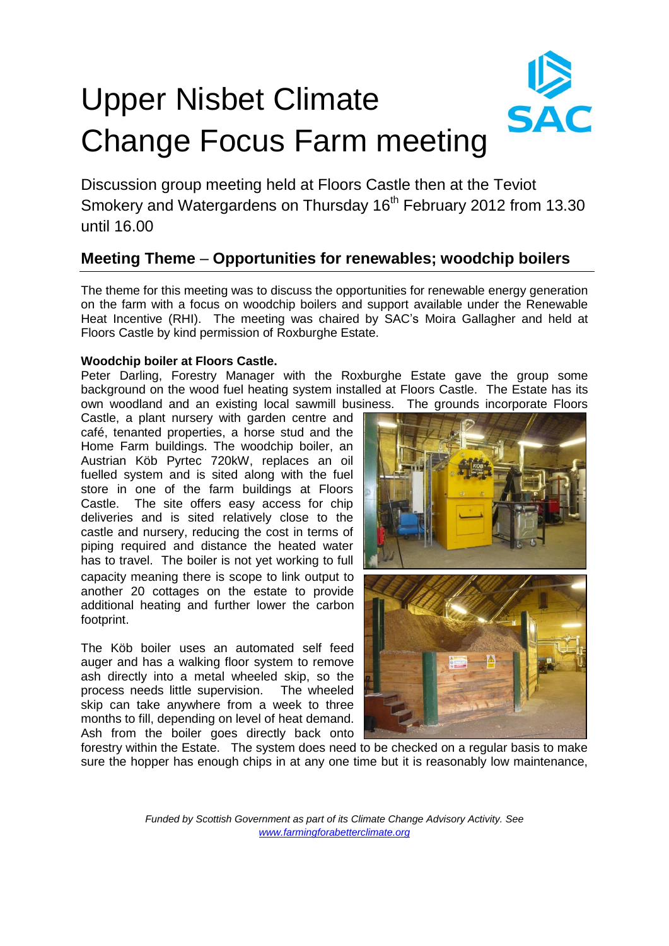# Upper Nisbet Climate Change Focus Farm meeting

Discussion group meeting held at Floors Castle then at the Teviot Smokery and Watergardens on Thursday 16<sup>th</sup> February 2012 from 13.30 until 16.00

## **Meeting Theme** – **Opportunities for renewables; woodchip boilers**

The theme for this meeting was to discuss the opportunities for renewable energy generation on the farm with a focus on woodchip boilers and support available under the Renewable Heat Incentive (RHI). The meeting was chaired by SAC's Moira Gallagher and held at Floors Castle by kind permission of Roxburghe Estate.

### **Woodchip boiler at Floors Castle.**

Peter Darling, Forestry Manager with the Roxburghe Estate gave the group some background on the wood fuel heating system installed at Floors Castle. The Estate has its own woodland and an existing local sawmill business. The grounds incorporate Floors

Castle, a plant nursery with garden centre and café, tenanted properties, a horse stud and the Home Farm buildings. The woodchip boiler, an Austrian Köb Pyrtec 720kW, replaces an oil fuelled system and is sited along with the fuel store in one of the farm buildings at Floors Castle. The site offers easy access for chip deliveries and is sited relatively close to the castle and nursery, reducing the cost in terms of piping required and distance the heated water has to travel. The boiler is not yet working to full capacity meaning there is scope to link output to another 20 cottages on the estate to provide additional heating and further lower the carbon footprint.

The Köb boiler uses an automated self feed auger and has a walking floor system to remove ash directly into a metal wheeled skip, so the process needs little supervision. The wheeled skip can take anywhere from a week to three months to fill, depending on level of heat demand. Ash from the boiler goes directly back onto



forestry within the Estate. The system does need to be checked on a regular basis to make sure the hopper has enough chips in at any one time but it is reasonably low maintenance.

> *Funded by Scottish Government as part of its Climate Change Advisory Activity. See www.farmingforabetterclimate.org*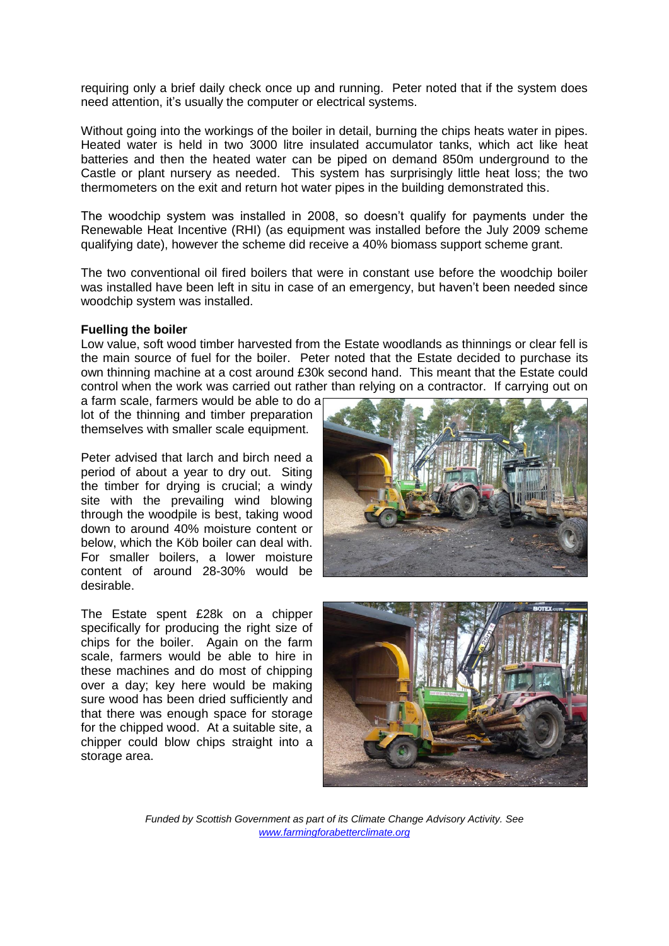requiring only a brief daily check once up and running. Peter noted that if the system does need attention, it's usually the computer or electrical systems.

Without going into the workings of the boiler in detail, burning the chips heats water in pipes. Heated water is held in two 3000 litre insulated accumulator tanks, which act like heat batteries and then the heated water can be piped on demand 850m underground to the Castle or plant nursery as needed. This system has surprisingly little heat loss; the two thermometers on the exit and return hot water pipes in the building demonstrated this.

The woodchip system was installed in 2008, so doesn't qualify for payments under the Renewable Heat Incentive (RHI) (as equipment was installed before the July 2009 scheme qualifying date), however the scheme did receive a 40% biomass support scheme grant.

The two conventional oil fired boilers that were in constant use before the woodchip boiler was installed have been left in situ in case of an emergency, but haven't been needed since woodchip system was installed.

#### **Fuelling the boiler**

Low value, soft wood timber harvested from the Estate woodlands as thinnings or clear fell is the main source of fuel for the boiler. Peter noted that the Estate decided to purchase its own thinning machine at a cost around £30k second hand. This meant that the Estate could control when the work was carried out rather than relying on a contractor. If carrying out on

a farm scale, farmers would be able to do a lot of the thinning and timber preparation themselves with smaller scale equipment.

Peter advised that larch and birch need a period of about a year to dry out. Siting the timber for drying is crucial; a windy site with the prevailing wind blowing through the woodpile is best, taking wood down to around 40% moisture content or below, which the Köb boiler can deal with. For smaller boilers, a lower moisture content of around 28-30% would be desirable.

The Estate spent £28k on a chipper specifically for producing the right size of chips for the boiler. Again on the farm scale, farmers would be able to hire in these machines and do most of chipping over a day; key here would be making sure wood has been dried sufficiently and that there was enough space for storage for the chipped wood. At a suitable site, a chipper could blow chips straight into a storage area.





*Funded by Scottish Government as part of its Climate Change Advisory Activity. See www.farmingforabetterclimate.org*